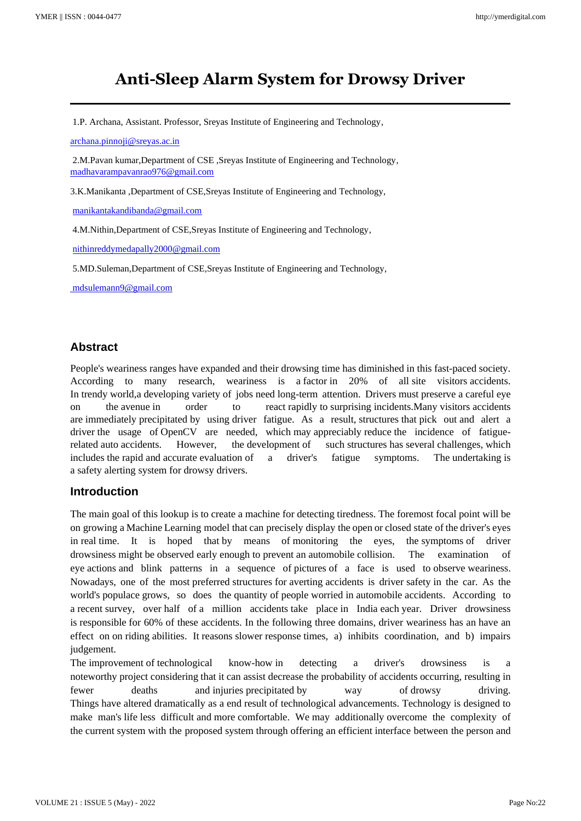# **Anti-Sleep Alarm System for Drowsy Driver**

1.P. Archana, Assistant. Professor, Sreyas Institute of Engineering and Technology,

[archana.pinnoji@sreyas.ac.in](mailto:archana.pinnoji@sreyas.ac.in)

2.M.Pavan kumar,Department of CSE ,Sreyas Institute of Engineering and Technology, [madhavarampavanrao976@gmail.com](mailto:madhavarampavanrao976@gmail.com)

3.K.Manikanta ,Department of CSE,Sreyas Institute of Engineering and Technology,

[manikantakandibanda@gmail.com](mailto:manikantakandibanda@gmail.com)

4.M.Nithin,Department of CSE,Sreyas Institute of Engineering and Technology,

nithinreddymedapally2000@gmail.com

5.MD.Suleman,Department of CSE,Sreyas Institute of Engineering and Technology,

mdsulemann9@gmail.com

#### **Abstract**

People's weariness ranges have expanded and their drowsing time has diminished in this fast-paced society. According to many research, weariness is a factor in 20% of all site visitors accidents. In trendy world,a developing variety of jobs need long-term attention. Drivers must preserve a careful eye on the avenue in order to react rapidly to surprising incidents.Many visitors accidents are immediately precipitated by using driver fatigue. As a result, structures that pick out and alert a driver the usage of OpenCV are needed, which may appreciably reduce the incidence of fatiguerelated auto accidents. However, the development of such structures has several challenges, which includes the rapid and accurate evaluation of a driver's fatigue symptoms. The undertaking is a safety alerting system for drowsy drivers.

#### **Introduction**

The main goal of this lookup is to create a machine for detecting tiredness. The foremost focal point will be on growing a Machine Learning model that can precisely display the open or closed state of the driver's eyes in real time. It is hoped that by means of monitoring the eyes, the symptoms of driver drowsiness might be observed early enough to prevent an automobile collision. The examination of eye actions and blink patterns in a sequence of pictures of a face is used to observe weariness. Nowadays, one of the most preferred structures for averting accidents is driver safety in the car. As the world's populace grows, so does the quantity of people worried in automobile accidents. According to a recent survey, over half of a million accidents take place in India each year. Driver drowsiness is responsible for 60% of these accidents. In the following three domains, driver weariness has an have an effect on on riding abilities. It reasons slower response times, a) inhibits coordination, and b) impairs judgement.

The improvement of technological know-how in detecting a driver's drowsiness is a noteworthy project considering that it can assist decrease the probability of accidents occurring, resulting in fewer deaths and injuries precipitated by way of drowsy driving. Things have altered dramatically as a end result of technological advancements. Technology is designed to make man's life less difficult and more comfortable. We may additionally overcome the complexity of the current system with the proposed system through offering an efficient interface between the person and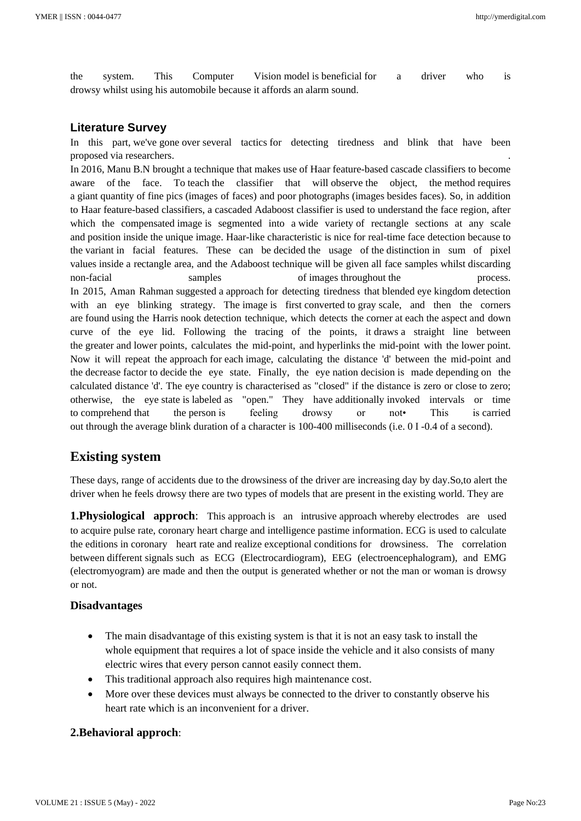the system. This Computer Vision model is beneficial for a driver who is drowsy whilst using his automobile because it affords an alarm sound.

#### **Literature Survey**

In this part, we've gone over several tactics for detecting tiredness and blink that have been proposed via researchers. .

In 2016, Manu B.N brought a technique that makes use of Haar feature-based cascade classifiers to become aware of the face. To teach the classifier that will observe the object, the method requires a giant quantity of fine pics (images of faces) and poor photographs (images besides faces). So, in addition to Haar feature-based classifiers, a cascaded Adaboost classifier is used to understand the face region, after which the compensated image is segmented into a wide variety of rectangle sections at any scale and position inside the unique image. Haar-like characteristic is nice for real-time face detection because to the variant in facial features. These can be decided the usage of the distinction in sum of pixel values inside a rectangle area, and the Adaboost technique will be given all face samples whilst discarding non-facial samples of images throughout the process. In 2015, Aman Rahman suggested a approach for detecting tiredness that blended eye kingdom detection with an eye blinking strategy. The image is first converted to gray scale, and then the corners are found using the Harris nook detection technique, which detects the corner at each the aspect and down curve of the eye lid. Following the tracing of the points, it draws a straight line between the greater and lower points, calculates the mid-point, and hyperlinks the mid-point with the lower point. Now it will repeat the approach for each image, calculating the distance 'd' between the mid-point and the decrease factor to decide the eye state. Finally, the eye nation decision is made depending on the calculated distance 'd'. The eye country is characterised as "closed" if the distance is zero or close to zero; otherwise, the eye state is labeled as "open." They have additionally invoked intervals or time to comprehend that the person is feeling drowsy or not• This is carried out through the average blink duration of a character is 100-400 milliseconds (i.e. 0 I -0.4 of a second).

### **Existing system**

These days, range of accidents due to the drowsiness of the driver are increasing day by day.So,to alert the driver when he feels drowsy there are two types of models that are present in the existing world. They are

**1.Physiological approch**: This approach is an intrusive approach whereby electrodes are used to acquire pulse rate, coronary heart charge and intelligence pastime information. ECG is used to calculate the editions in coronary heart rate and realize exceptional conditions for drowsiness. The correlation between different signals such as ECG (Electrocardiogram), EEG (electroencephalogram), and EMG (electromyogram) are made and then the output is generated whether or not the man or woman is drowsy or not.

#### **Disadvantages**

- The main disadvantage of this existing system is that it is not an easy task to install the whole equipment that requires a lot of space inside the vehicle and it also consists of many electric wires that every person cannot easily connect them.
- This traditional approach also requires high maintenance cost.
- More over these devices must always be connected to the driver to constantly observe his heart rate which is an inconvenient for a driver.

#### **2.Behavioral approch**: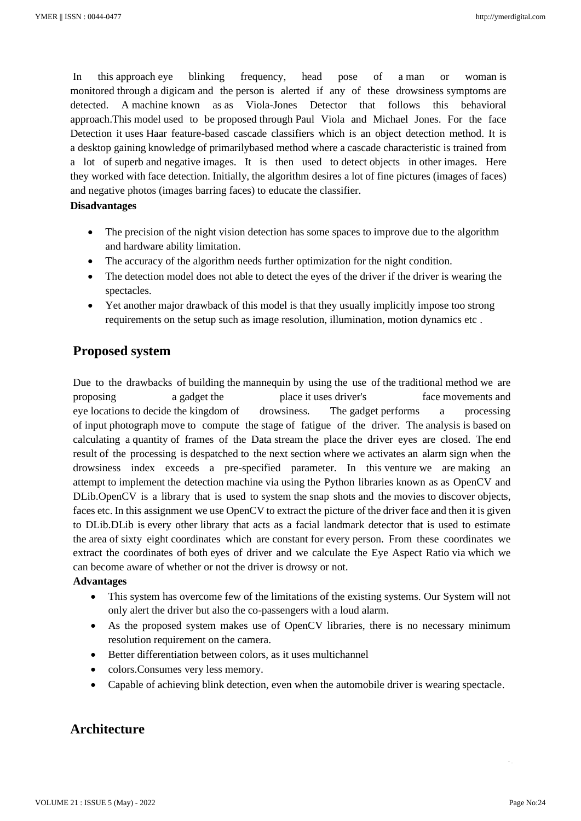In this approach eye blinking frequency, head pose of a man or woman is monitored through a digicam and the person is alerted if any of these drowsiness symptoms are detected. A machine known as as Viola-Jones Detector that follows this behavioral approach.This model used to be proposed through Paul Viola and Michael Jones. For the face Detection it uses Haar feature-based cascade classifiers which is an object detection method. It is a desktop gaining knowledge of primarilybased method where a cascade characteristic is trained from a lot of superb and negative images. It is then used to detect objects in other images. Here they worked with face detection. Initially, the algorithm desires a lot of fine pictures (images of faces) and negative photos (images barring faces) to educate the classifier.

#### **Disadvantages**

- The precision of the night vision detection has some spaces to improve due to the algorithm and hardware ability limitation.
- The accuracy of the algorithm needs further optimization for the night condition.
- The detection model does not able to detect the eyes of the driver if the driver is wearing the spectacles.
- Yet another major drawback of this model is that they usually implicitly impose too strong requirements on the setup such as image resolution, illumination, motion dynamics etc .

### **Proposed system**

Due to the drawbacks of building the mannequin by using the use of the traditional method we are proposing a gadget the place it uses driver's face movements and eye locations to decide the kingdom of drowsiness. The gadget performs a processing of input photograph move to compute the stage of fatigue of the driver. The analysis is based on calculating a quantity of frames of the Data stream the place the driver eyes are closed. The end result of the processing is despatched to the next section where we activates an alarm sign when the drowsiness index exceeds a pre-specified parameter. In this venture we are making an attempt to implement the detection machine via using the Python libraries known as as OpenCV and DLib.OpenCV is a library that is used to system the snap shots and the movies to discover objects, faces etc. In this assignment we use OpenCV to extract the picture of the driver face and then it is given to DLib.DLib is every other library that acts as a facial landmark detector that is used to estimate the area of sixty eight coordinates which are constant for every person. From these coordinates we extract the coordinates of both eyes of driver and we calculate the Eye Aspect Ratio via which we can become aware of whether or not the driver is drowsy or not.

#### **Advantages**

- This system has overcome few of the limitations of the existing systems. Our System will not only alert the driver but also the co-passengers with a loud alarm.
- As the proposed system makes use of OpenCV libraries, there is no necessary minimum resolution requirement on the camera.
- Better differentiation between colors, as it uses multichannel
- colors.Consumes very less memory.
- Capable of achieving blink detection, even when the automobile driver is wearing spectacle.

### **Architecture**

 $\mathcal{L}_\mathrm{L}$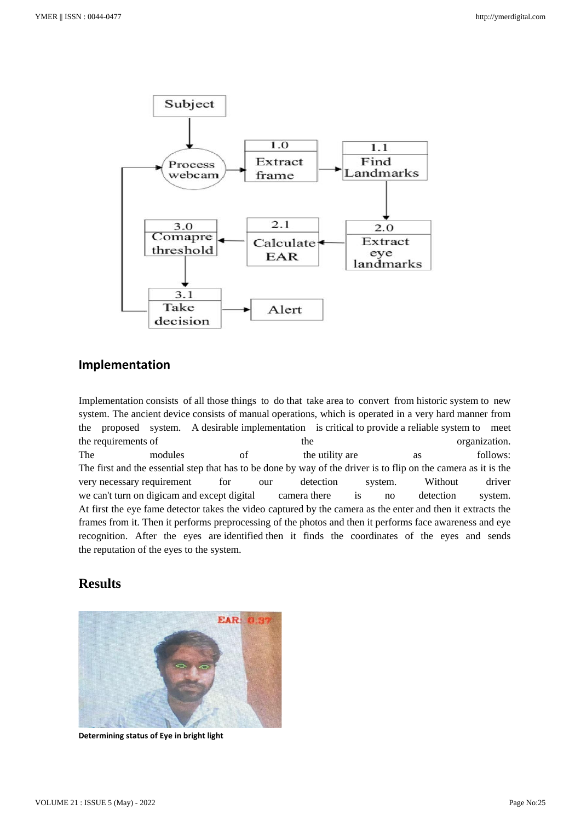

#### **Implementation**

Implementation consists of all those things to do that take area to convert from historic system to new system. The ancient device consists of manual operations, which is operated in a very hard manner from the proposed system. A desirable implementation is critical to provide a reliable system to meet the requirements of the organization. The modules of the utility are as follows: The first and the essential step that has to be done by way of the driver is to flip on the camera as it is the very necessary requirement for our detection system. Without driver we can't turn on digicam and except digital camera there is no detection system. At first the eye fame detector takes the video captured by the camera as the enter and then it extracts the frames from it. Then it performs preprocessing of the photos and then it performs face awareness and eye recognition. After the eyes are identified then it finds the coordinates of the eyes and sends the reputation of the eyes to the system.

### **Results**



**Determining status of Eye in bright light**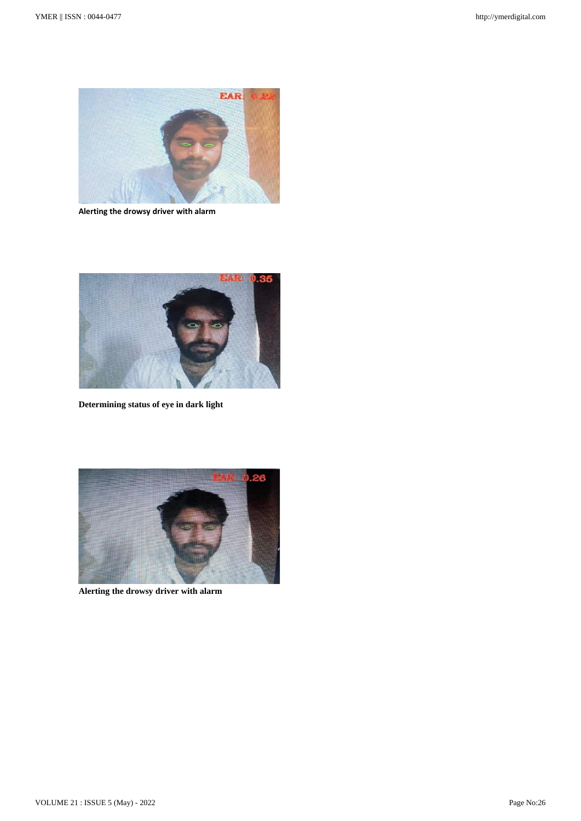

**Alerting the drowsy driver with alarm**



**Determining status of eye in dark light**



**Alerting the drowsy driver with alarm**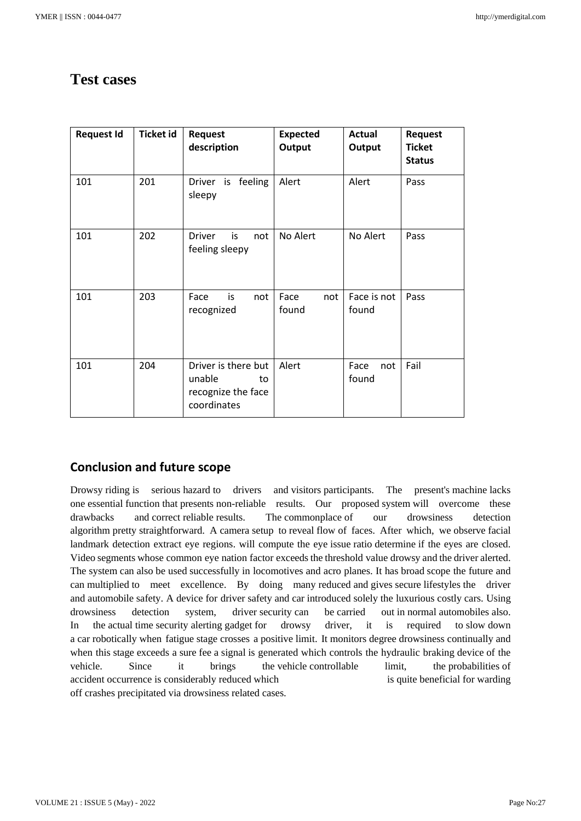## **Test cases**

| <b>Request Id</b> | <b>Ticket id</b> | <b>Request</b><br>description                                            | <b>Expected</b><br>Output | Actual<br>Output     | <b>Request</b><br><b>Ticket</b><br><b>Status</b> |
|-------------------|------------------|--------------------------------------------------------------------------|---------------------------|----------------------|--------------------------------------------------|
| 101               | 201              | Driver is feeling<br>sleepy                                              | Alert                     | Alert                | Pass                                             |
| 101               | 202              | <b>Driver</b><br>not<br>is<br>feeling sleepy                             | No Alert                  | No Alert             | Pass                                             |
| 101               | 203              | Face<br>is<br>not<br>recognized                                          | Face<br>not<br>found      | Face is not<br>found | Pass                                             |
| 101               | 204              | Driver is there but<br>unable<br>to<br>recognize the face<br>coordinates | Alert                     | Face<br>not<br>found | Fail                                             |

### **Conclusion and future scope**

Drowsy riding is serious hazard to drivers and visitors participants. The present's machine lacks one essential function that presents non-reliable results. Our proposed system will overcome these drawbacks and correct reliable results. The commonplace of our drowsiness detection algorithm pretty straightforward. A camera setup to reveal flow of faces. After which, we observe facial landmark detection extract eye regions. will compute the eye issue ratio determine if the eyes are closed. Video segments whose common eye nation factor exceeds the threshold value drowsy and the driver alerted. The system can also be used successfully in locomotives and acro planes. It has broad scope the future and can multiplied to meet excellence. By doing many reduced and gives secure lifestyles the driver and automobile safety. A device for driver safety and car introduced solely the luxurious costly cars. Using drowsiness detection system, driver security can be carried out in normal automobiles also. In the actual time security alerting gadget for drowsy driver, it is required to slow down a car robotically when fatigue stage crosses a positive limit. It monitors degree drowsiness continually and when this stage exceeds a sure fee a signal is generated which controls the hydraulic braking device of the vehicle. Since it brings the vehicle controllable limit, the probabilities of accident occurrence is considerably reduced which is quite beneficial for warding off crashes precipitated via drowsiness related cases.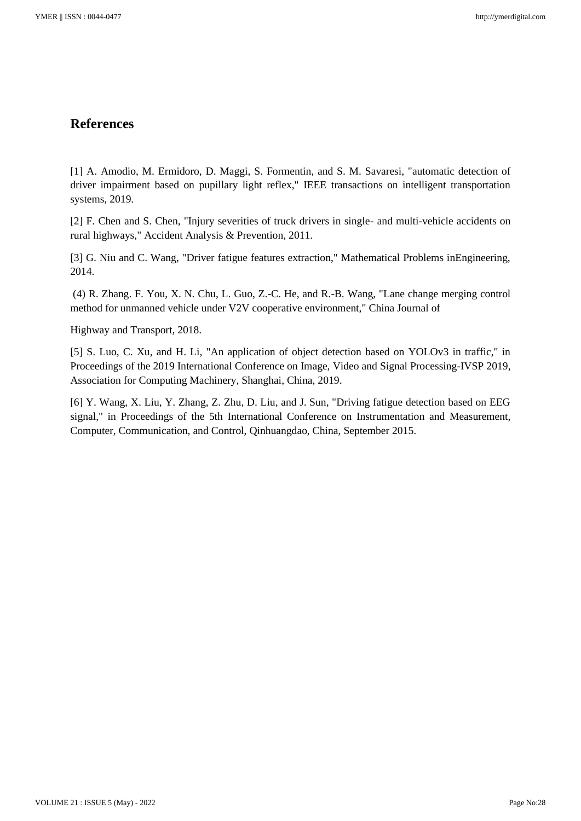### **References**

[1] A. Amodio, M. Ermidoro, D. Maggi, S. Formentin, and S. M. Savaresi, "automatic detection of driver impairment based on pupillary light reflex," IEEE transactions on intelligent transportation systems, 2019.

[2] F. Chen and S. Chen, "Injury severities of truck drivers in single- and multi-vehicle accidents on rural highways," Accident Analysis & Prevention, 2011.

[3] G. Niu and C. Wang, "Driver fatigue features extraction," Mathematical Problems inEngineering, 2014.

(4) R. Zhang. F. You, X. N. Chu, L. Guo, Z.-C. He, and R.-B. Wang, "Lane change merging control method for unmanned vehicle under V2V cooperative environment," China Journal of

Highway and Transport, 2018.

[5] S. Luo, C. Xu, and H. Li, "An application of object detection based on YOLOv3 in traffic," in Proceedings of the 2019 International Conference on Image, Video and Signal Processing-IVSP 2019, Association for Computing Machinery, Shanghai, China, 2019.

[6] Y. Wang, X. Liu, Y. Zhang, Z. Zhu, D. Liu, and J. Sun, "Driving fatigue detection based on EEG signal," in Proceedings of the 5th International Conference on Instrumentation and Measurement, Computer, Communication, and Control, Qinhuangdao, China, September 2015.